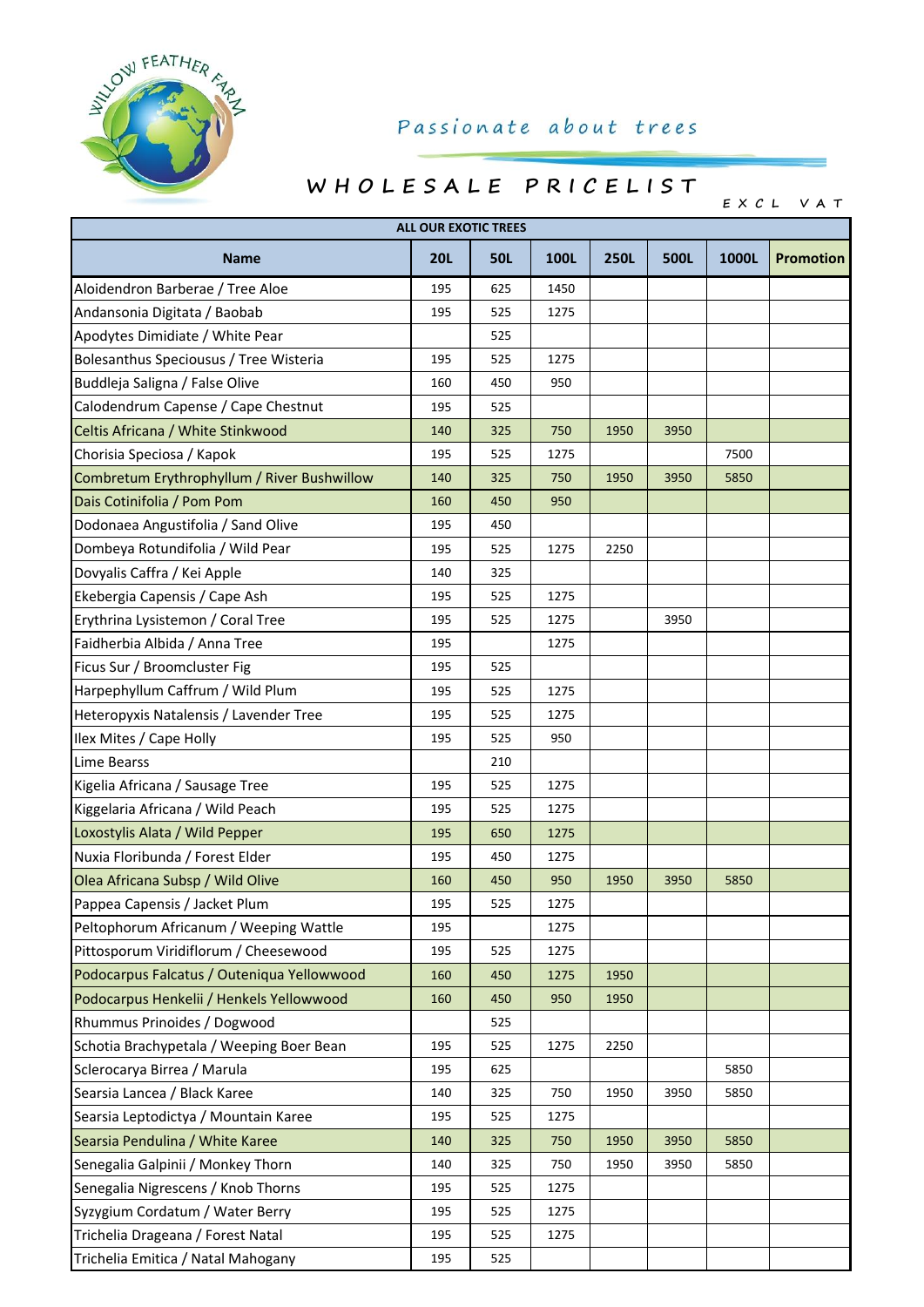

## Passionate about trees

## **W H O L E S A L E P R I C E L I S T**

**E X C L VAT**

| <b>ALL OUR EXOTIC TREES</b>                 |            |            |      |             |      |       |                  |  |  |
|---------------------------------------------|------------|------------|------|-------------|------|-------|------------------|--|--|
| <b>Name</b>                                 | <b>20L</b> | <b>50L</b> | 100L | <b>250L</b> | 500L | 1000L | <b>Promotion</b> |  |  |
| Aloidendron Barberae / Tree Aloe            | 195        | 625        | 1450 |             |      |       |                  |  |  |
| Andansonia Digitata / Baobab                | 195        | 525        | 1275 |             |      |       |                  |  |  |
| Apodytes Dimidiate / White Pear             |            | 525        |      |             |      |       |                  |  |  |
| Bolesanthus Speciousus / Tree Wisteria      | 195        | 525        | 1275 |             |      |       |                  |  |  |
| Buddleja Saligna / False Olive              | 160        | 450        | 950  |             |      |       |                  |  |  |
| Calodendrum Capense / Cape Chestnut         | 195        | 525        |      |             |      |       |                  |  |  |
| Celtis Africana / White Stinkwood           | 140        | 325        | 750  | 1950        | 3950 |       |                  |  |  |
| Chorisia Speciosa / Kapok                   | 195        | 525        | 1275 |             |      | 7500  |                  |  |  |
| Combretum Erythrophyllum / River Bushwillow | 140        | 325        | 750  | 1950        | 3950 | 5850  |                  |  |  |
| Dais Cotinifolia / Pom Pom                  | 160        | 450        | 950  |             |      |       |                  |  |  |
| Dodonaea Angustifolia / Sand Olive          | 195        | 450        |      |             |      |       |                  |  |  |
| Dombeya Rotundifolia / Wild Pear            | 195        | 525        | 1275 | 2250        |      |       |                  |  |  |
| Dovyalis Caffra / Kei Apple                 | 140        | 325        |      |             |      |       |                  |  |  |
| Ekebergia Capensis / Cape Ash               | 195        | 525        | 1275 |             |      |       |                  |  |  |
| Erythrina Lysistemon / Coral Tree           | 195        | 525        | 1275 |             | 3950 |       |                  |  |  |
| Faidherbia Albida / Anna Tree               | 195        |            | 1275 |             |      |       |                  |  |  |
| Ficus Sur / Broomcluster Fig                | 195        | 525        |      |             |      |       |                  |  |  |
| Harpephyllum Caffrum / Wild Plum            | 195        | 525        | 1275 |             |      |       |                  |  |  |
| Heteropyxis Natalensis / Lavender Tree      | 195        | 525        | 1275 |             |      |       |                  |  |  |
| Ilex Mites / Cape Holly                     | 195        | 525        | 950  |             |      |       |                  |  |  |
| Lime Bearss                                 |            | 210        |      |             |      |       |                  |  |  |
| Kigelia Africana / Sausage Tree             | 195        | 525        | 1275 |             |      |       |                  |  |  |
| Kiggelaria Africana / Wild Peach            | 195        | 525        | 1275 |             |      |       |                  |  |  |
| Loxostylis Alata / Wild Pepper              | 195        | 650        | 1275 |             |      |       |                  |  |  |
| Nuxia Floribunda / Forest Elder             | 195        | 450        | 1275 |             |      |       |                  |  |  |
| Olea Africana Subsp / Wild Olive            | 160        | 450        | 950  | 1950        | 3950 | 5850  |                  |  |  |
| Pappea Capensis / Jacket Plum               | 195        | 525        | 1275 |             |      |       |                  |  |  |
| Peltophorum Africanum / Weeping Wattle      | 195        |            | 1275 |             |      |       |                  |  |  |
| Pittosporum Viridiflorum / Cheesewood       | 195        | 525        | 1275 |             |      |       |                  |  |  |
| Podocarpus Falcatus / Outeniqua Yellowwood  | 160        | 450        | 1275 | 1950        |      |       |                  |  |  |
| Podocarpus Henkelii / Henkels Yellowwood    | 160        | 450        | 950  | 1950        |      |       |                  |  |  |
| Rhummus Prinoides / Dogwood                 |            | 525        |      |             |      |       |                  |  |  |
| Schotia Brachypetala / Weeping Boer Bean    | 195        | 525        | 1275 | 2250        |      |       |                  |  |  |
| Sclerocarya Birrea / Marula                 | 195        | 625        |      |             |      | 5850  |                  |  |  |
| Searsia Lancea / Black Karee                | 140        | 325        | 750  | 1950        | 3950 | 5850  |                  |  |  |
| Searsia Leptodictya / Mountain Karee        | 195        | 525        | 1275 |             |      |       |                  |  |  |
| Searsia Pendulina / White Karee             | 140        | 325        | 750  | 1950        | 3950 | 5850  |                  |  |  |
| Senegalia Galpinii / Monkey Thorn           | 140        | 325        | 750  | 1950        | 3950 | 5850  |                  |  |  |
| Senegalia Nigrescens / Knob Thorns          | 195        | 525        | 1275 |             |      |       |                  |  |  |
| Syzygium Cordatum / Water Berry             | 195        | 525        | 1275 |             |      |       |                  |  |  |
| Trichelia Drageana / Forest Natal           | 195        | 525        | 1275 |             |      |       |                  |  |  |
| Trichelia Emitica / Natal Mahogany          | 195        | 525        |      |             |      |       |                  |  |  |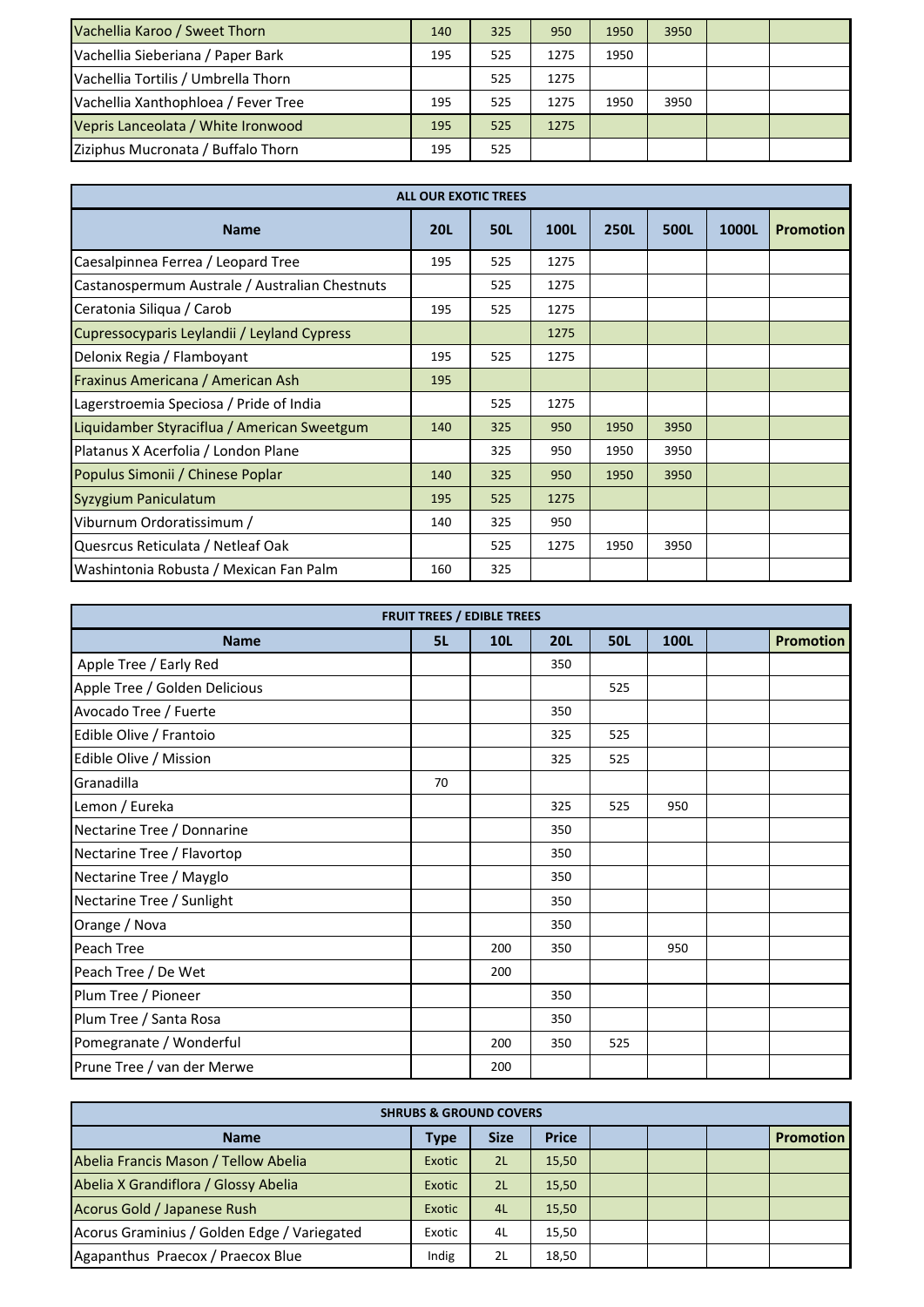| Vachellia Karoo / Sweet Thorn       | 140 | 325 | 950  | 1950 | 3950 |  |
|-------------------------------------|-----|-----|------|------|------|--|
| Vachellia Sieberiana / Paper Bark   | 195 | 525 | 1275 | 1950 |      |  |
| Vachellia Tortilis / Umbrella Thorn |     | 525 | 1275 |      |      |  |
| Vachellia Xanthophloea / Fever Tree | 195 | 525 | 1275 | 1950 | 3950 |  |
| Vepris Lanceolata / White Ironwood  | 195 | 525 | 1275 |      |      |  |
| Ziziphus Mucronata / Buffalo Thorn  | 195 | 525 |      |      |      |  |

| <b>ALL OUR EXOTIC TREES</b>                    |            |            |      |             |      |       |                  |  |  |  |
|------------------------------------------------|------------|------------|------|-------------|------|-------|------------------|--|--|--|
| <b>Name</b>                                    | <b>20L</b> | <b>50L</b> | 100L | <b>250L</b> | 500L | 1000L | <b>Promotion</b> |  |  |  |
| Caesalpinnea Ferrea / Leopard Tree             | 195        | 525        | 1275 |             |      |       |                  |  |  |  |
| Castanospermum Australe / Australian Chestnuts |            | 525        | 1275 |             |      |       |                  |  |  |  |
| Ceratonia Siliqua / Carob                      | 195        | 525        | 1275 |             |      |       |                  |  |  |  |
| Cupressocyparis Leylandii / Leyland Cypress    |            |            | 1275 |             |      |       |                  |  |  |  |
| Delonix Regia / Flamboyant                     | 195        | 525        | 1275 |             |      |       |                  |  |  |  |
| Fraxinus Americana / American Ash              | 195        |            |      |             |      |       |                  |  |  |  |
| Lagerstroemia Speciosa / Pride of India        |            | 525        | 1275 |             |      |       |                  |  |  |  |
| Liquidamber Styraciflua / American Sweetgum    | 140        | 325        | 950  | 1950        | 3950 |       |                  |  |  |  |
| Platanus X Acerfolia / London Plane            |            | 325        | 950  | 1950        | 3950 |       |                  |  |  |  |
| Populus Simonii / Chinese Poplar               | 140        | 325        | 950  | 1950        | 3950 |       |                  |  |  |  |
| Syzygium Paniculatum                           | 195        | 525        | 1275 |             |      |       |                  |  |  |  |
| Viburnum Ordoratissimum /                      | 140        | 325        | 950  |             |      |       |                  |  |  |  |
| Quesrcus Reticulata / Netleaf Oak              |            | 525        | 1275 | 1950        | 3950 |       |                  |  |  |  |
| Washintonia Robusta / Mexican Fan Palm         | 160        | 325        |      |             |      |       |                  |  |  |  |

| <b>FRUIT TREES / EDIBLE TREES</b> |    |            |            |            |             |  |                  |  |  |
|-----------------------------------|----|------------|------------|------------|-------------|--|------------------|--|--|
| <b>Name</b>                       | 5L | <b>10L</b> | <b>20L</b> | <b>50L</b> | <b>100L</b> |  | <b>Promotion</b> |  |  |
| Apple Tree / Early Red            |    |            | 350        |            |             |  |                  |  |  |
| Apple Tree / Golden Delicious     |    |            |            | 525        |             |  |                  |  |  |
| Avocado Tree / Fuerte             |    |            | 350        |            |             |  |                  |  |  |
| Edible Olive / Frantoio           |    |            | 325        | 525        |             |  |                  |  |  |
| Edible Olive / Mission            |    |            | 325        | 525        |             |  |                  |  |  |
| Granadilla                        | 70 |            |            |            |             |  |                  |  |  |
| Lemon / Eureka                    |    |            | 325        | 525        | 950         |  |                  |  |  |
| Nectarine Tree / Donnarine        |    |            | 350        |            |             |  |                  |  |  |
| Nectarine Tree / Flavortop        |    |            | 350        |            |             |  |                  |  |  |
| Nectarine Tree / Mayglo           |    |            | 350        |            |             |  |                  |  |  |
| Nectarine Tree / Sunlight         |    |            | 350        |            |             |  |                  |  |  |
| Orange / Nova                     |    |            | 350        |            |             |  |                  |  |  |
| <b>Peach Tree</b>                 |    | 200        | 350        |            | 950         |  |                  |  |  |
| Peach Tree / De Wet               |    | 200        |            |            |             |  |                  |  |  |
| Plum Tree / Pioneer               |    |            | 350        |            |             |  |                  |  |  |
| Plum Tree / Santa Rosa            |    |            | 350        |            |             |  |                  |  |  |
| Pomegranate / Wonderful           |    | 200        | 350        | 525        |             |  |                  |  |  |
| Prune Tree / van der Merwe        |    | 200        |            |            |             |  |                  |  |  |

| <b>SHRUBS &amp; GROUND COVERS</b>           |        |             |              |  |  |  |                  |  |
|---------------------------------------------|--------|-------------|--------------|--|--|--|------------------|--|
| <b>Name</b>                                 | Type   | <b>Size</b> | <b>Price</b> |  |  |  | <b>Promotion</b> |  |
| Abelia Francis Mason / Tellow Abelia        | Exotic | 2L          | 15,50        |  |  |  |                  |  |
| Abelia X Grandiflora / Glossy Abelia        | Exotic | 2L          | 15,50        |  |  |  |                  |  |
| Acorus Gold / Japanese Rush                 | Exotic | 4L          | 15,50        |  |  |  |                  |  |
| Acorus Graminius / Golden Edge / Variegated | Exotic | 4L          | 15,50        |  |  |  |                  |  |
| Agapanthus Praecox / Praecox Blue           | Indig  | 2L          | 18,50        |  |  |  |                  |  |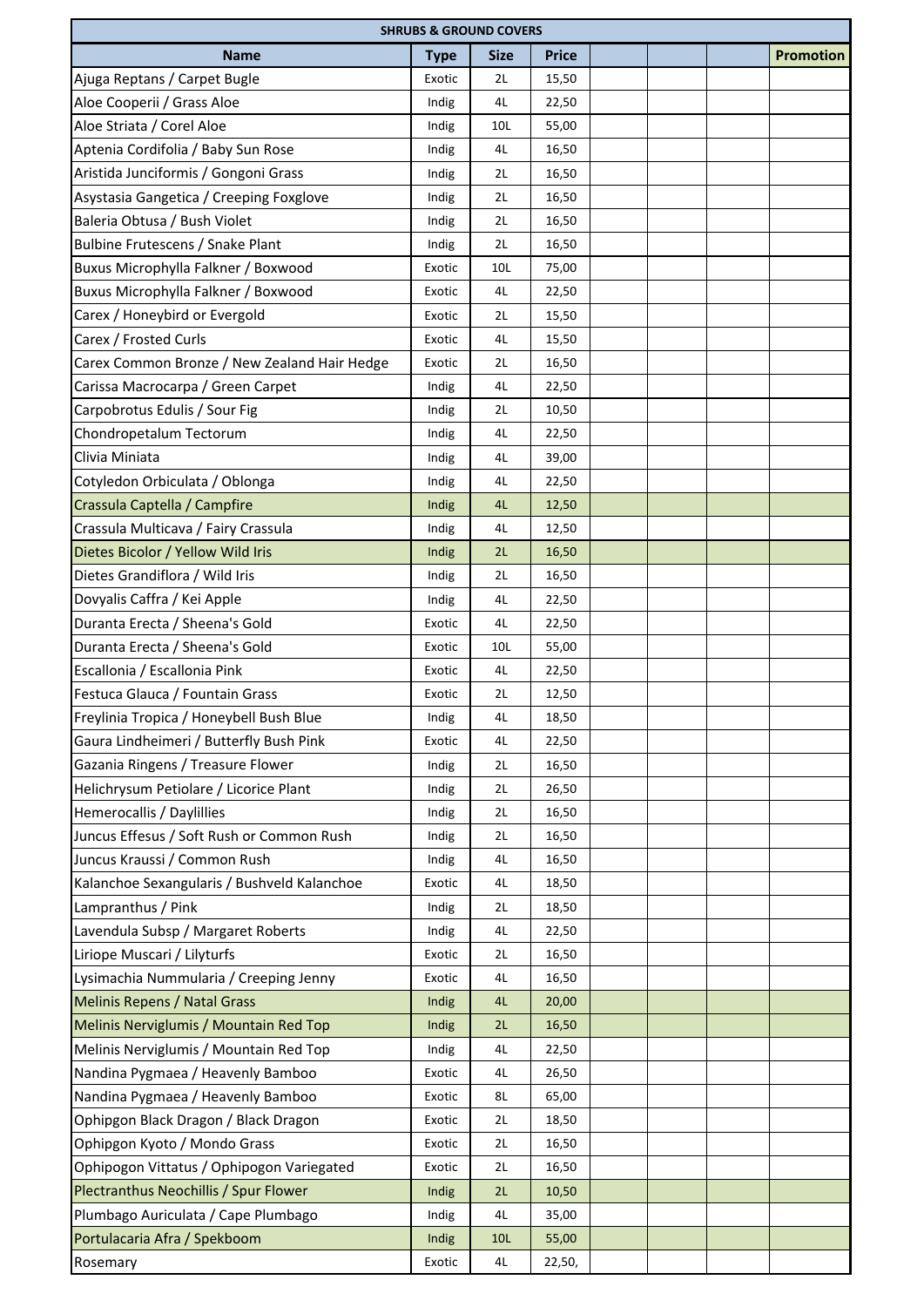| <b>SHRUBS &amp; GROUND COVERS</b>            |             |             |              |  |  |  |                  |  |  |
|----------------------------------------------|-------------|-------------|--------------|--|--|--|------------------|--|--|
| <b>Name</b>                                  | <b>Type</b> | <b>Size</b> | <b>Price</b> |  |  |  | <b>Promotion</b> |  |  |
| Ajuga Reptans / Carpet Bugle                 | Exotic      | 2L          | 15,50        |  |  |  |                  |  |  |
| Aloe Cooperii / Grass Aloe                   | Indig       | 4L          | 22,50        |  |  |  |                  |  |  |
| Aloe Striata / Corel Aloe                    | Indig       | 10L         | 55,00        |  |  |  |                  |  |  |
| Aptenia Cordifolia / Baby Sun Rose           | Indig       | 4L          | 16,50        |  |  |  |                  |  |  |
| Aristida Junciformis / Gongoni Grass         | Indig       | 2L          | 16,50        |  |  |  |                  |  |  |
| Asystasia Gangetica / Creeping Foxglove      | Indig       | 2L          | 16,50        |  |  |  |                  |  |  |
| Baleria Obtusa / Bush Violet                 | Indig       | 2L          | 16,50        |  |  |  |                  |  |  |
| Bulbine Frutescens / Snake Plant             | Indig       | 2L          | 16,50        |  |  |  |                  |  |  |
| Buxus Microphylla Falkner / Boxwood          | Exotic      | 10L         | 75,00        |  |  |  |                  |  |  |
| Buxus Microphylla Falkner / Boxwood          | Exotic      | 4L          | 22,50        |  |  |  |                  |  |  |
| Carex / Honeybird or Evergold                | Exotic      | 2L          | 15,50        |  |  |  |                  |  |  |
| Carex / Frosted Curls                        | Exotic      | 4L          | 15,50        |  |  |  |                  |  |  |
| Carex Common Bronze / New Zealand Hair Hedge | Exotic      | 2L          | 16,50        |  |  |  |                  |  |  |
| Carissa Macrocarpa / Green Carpet            | Indig       | 4L          | 22,50        |  |  |  |                  |  |  |
| Carpobrotus Edulis / Sour Fig                | Indig       | 2L          | 10,50        |  |  |  |                  |  |  |
| Chondropetalum Tectorum                      | Indig       | 4L          | 22,50        |  |  |  |                  |  |  |
| Clivia Miniata                               | Indig       | 4L          | 39,00        |  |  |  |                  |  |  |
| Cotyledon Orbiculata / Oblonga               | Indig       | 4L          | 22,50        |  |  |  |                  |  |  |
| Crassula Captella / Campfire                 | Indig       | 4L          | 12,50        |  |  |  |                  |  |  |
| Crassula Multicava / Fairy Crassula          | Indig       | 4L          | 12,50        |  |  |  |                  |  |  |
| Dietes Bicolor / Yellow Wild Iris            | Indig       | 2L          | 16,50        |  |  |  |                  |  |  |
| Dietes Grandiflora / Wild Iris               | Indig       | 2L          | 16,50        |  |  |  |                  |  |  |
| Dovyalis Caffra / Kei Apple                  | Indig       | 4L          | 22,50        |  |  |  |                  |  |  |
| Duranta Erecta / Sheena's Gold               | Exotic      | 4L          |              |  |  |  |                  |  |  |
| Duranta Erecta / Sheena's Gold               |             |             | 22,50        |  |  |  |                  |  |  |
| Escallonia / Escallonia Pink                 | Exotic      | 10L<br>4L   | 55,00        |  |  |  |                  |  |  |
|                                              | Exotic      |             | 22,50        |  |  |  |                  |  |  |
| Festuca Glauca / Fountain Grass              | Exotic      | 2L          | 12,50        |  |  |  |                  |  |  |
| Freylinia Tropica / Honeybell Bush Blue      | Indig       | 4L          | 18,50        |  |  |  |                  |  |  |
| Gaura Lindheimeri / Butterfly Bush Pink      | Exotic      | 4L          | 22,50        |  |  |  |                  |  |  |
| Gazania Ringens / Treasure Flower            | Indig       | 2L          | 16,50        |  |  |  |                  |  |  |
| Helichrysum Petiolare / Licorice Plant       | Indig       | 2L          | 26,50        |  |  |  |                  |  |  |
| Hemerocallis / Daylillies                    | Indig       | 2L          | 16,50        |  |  |  |                  |  |  |
| Juncus Effesus / Soft Rush or Common Rush    | Indig       | 2L          | 16,50        |  |  |  |                  |  |  |
| Juncus Kraussi / Common Rush                 | Indig       | 4L          | 16,50        |  |  |  |                  |  |  |
| Kalanchoe Sexangularis / Bushveld Kalanchoe  | Exotic      | 4L          | 18,50        |  |  |  |                  |  |  |
| Lampranthus / Pink                           | Indig       | 2L          | 18,50        |  |  |  |                  |  |  |
| Lavendula Subsp / Margaret Roberts           | Indig       | 4L          | 22,50        |  |  |  |                  |  |  |
| Liriope Muscari / Lilyturfs                  | Exotic      | 2L          | 16,50        |  |  |  |                  |  |  |
| Lysimachia Nummularia / Creeping Jenny       | Exotic      | 4L          | 16,50        |  |  |  |                  |  |  |
| <b>Melinis Repens / Natal Grass</b>          | Indig       | 4L          | 20,00        |  |  |  |                  |  |  |
| Melinis Nerviglumis / Mountain Red Top       | Indig       | 2L          | 16,50        |  |  |  |                  |  |  |
| Melinis Nerviglumis / Mountain Red Top       | Indig       | 4L          | 22,50        |  |  |  |                  |  |  |
| Nandina Pygmaea / Heavenly Bamboo            | Exotic      | 4L          | 26,50        |  |  |  |                  |  |  |
| Nandina Pygmaea / Heavenly Bamboo            | Exotic      | 8L          | 65,00        |  |  |  |                  |  |  |
| Ophipgon Black Dragon / Black Dragon         | Exotic      | 2L          | 18,50        |  |  |  |                  |  |  |
| Ophipgon Kyoto / Mondo Grass                 | Exotic      | 2L          | 16,50        |  |  |  |                  |  |  |
| Ophipogon Vittatus / Ophipogon Variegated    | Exotic      | 2L          | 16,50        |  |  |  |                  |  |  |
| Plectranthus Neochillis / Spur Flower        | Indig       | 2L          | 10,50        |  |  |  |                  |  |  |
| Plumbago Auriculata / Cape Plumbago          | Indig       | 4L          | 35,00        |  |  |  |                  |  |  |
| Portulacaria Afra / Spekboom                 | Indig       | 10L         | 55,00        |  |  |  |                  |  |  |
| Rosemary                                     | Exotic      | 4L          | 22,50,       |  |  |  |                  |  |  |